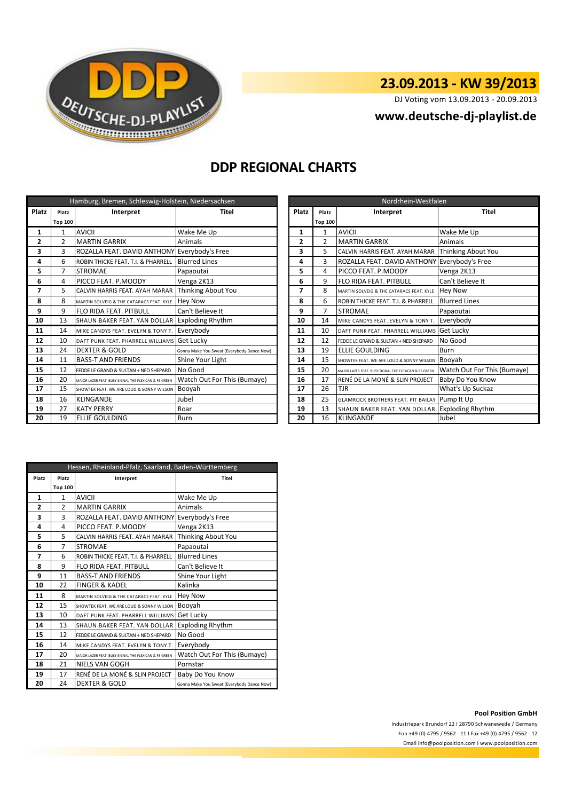

# **23.09.2013 - KW 39/2013**

DJ Voting vom 13.09.2013 - 20.09.2013

## **<www.deutsche-dj-playlist.de>**

## **DDP REGIONAL CHARTS**

| Hamburg, Bremen, Schleswig-Holstein, Niedersachsen |                |                                                       |                                            | Nordrhein-Westfalen |                |                                                       |                             |
|----------------------------------------------------|----------------|-------------------------------------------------------|--------------------------------------------|---------------------|----------------|-------------------------------------------------------|-----------------------------|
| Platz                                              | Platz          | Interpret<br><b>Platz</b><br><b>Titel</b><br>Platz    |                                            |                     | Interpret      | <b>Titel</b>                                          |                             |
|                                                    | <b>Top 100</b> |                                                       |                                            |                     | <b>Top 100</b> |                                                       |                             |
| 1                                                  |                | <b>AVICII</b>                                         | Wake Me Up                                 |                     | 1              | <b>AVICII</b>                                         | Wake Me Up                  |
| 2                                                  | 2              | <b>MARTIN GARRIX</b>                                  | Animals                                    | 2                   | $\overline{2}$ | <b>MARTIN GARRIX</b>                                  | Animals                     |
| 3                                                  | 3              | ROZALLA FEAT. DAVID ANTHONY Everybody's Free          |                                            | 3                   | 5              | CALVIN HARRIS FEAT. AYAH MARAR                        | Thinking About You          |
| 4                                                  | 6              | ROBIN THICKE FEAT. T.I. & PHARRELL                    | <b>Blurred Lines</b>                       | $\overline{3}$<br>4 |                | ROZALLA FEAT. DAVID ANTHONY Everybody's Free          |                             |
| 5                                                  |                | <b>STROMAE</b>                                        | Papaoutai                                  | 5<br>4              |                | PICCO FEAT. P.MOODY                                   | Venga 2K13                  |
| 6                                                  | 4              | PICCO FEAT. P.MOODY                                   | Venga 2K13                                 | 6                   | 9              | <b>FLO RIDA FEAT. PITBULL</b>                         | Can't Believe It            |
| 7                                                  | 5              | CALVIN HARRIS FEAT. AYAH MARAR                        | Thinking About You                         | 7                   | 8              | MARTIN SOLVEIG & THE CATARACS FEAT. KYLE              | Hey Now                     |
| 8                                                  | 8              | MARTIN SOLVEIG & THE CATARACS FEAT. KYLE              | <b>Hey Now</b>                             | 8                   | 6              | ROBIN THICKE FEAT. T.I. & PHARRELL                    | <b>Blurred Lines</b>        |
| 9                                                  | 9              | FLO RIDA FEAT, PITBULL                                | Can't Believe It                           | 9                   | $\overline{7}$ | <b>STROMAE</b>                                        | Papaoutai                   |
| 10                                                 | 13             | SHAUN BAKER FEAT. YAN DOLLAR Exploding Rhythm         |                                            | 10                  | 14             | MIKE CANDYS FEAT. EVELYN & TONY T.                    | Everybody                   |
| 11                                                 | 14             | MIKE CANDYS FEAT. EVELYN & TONY T.                    | Everybody                                  | 11                  | 10             | DAFT PUNK FEAT. PHARRELL WILLIAMS Get Lucky           |                             |
| 12                                                 | 10             | DAFT PUNK FEAT. PHARRELL WILLIAMS                     | <b>Get Lucky</b>                           | 12                  | 12             | FEDDE LE GRAND & SULTAN + NED SHEPARD                 | No Good                     |
| 13                                                 | 24             | <b>DEXTER &amp; GOLD</b>                              | Gonna Make You Sweat (Everybody Dance Now) | 13                  | 19             | <b>ELLIE GOULDING</b>                                 | <b>Burn</b>                 |
| 14                                                 | 11             | <b>BASS-T AND FRIENDS</b>                             | Shine Your Light                           | 14                  | 15             | SHOWTEK FEAT. WE ARE LOUD & SONNY WILSON              | Booyah                      |
| 15                                                 | 12             | FEDDE LE GRAND & SULTAN + NED SHEPARD                 | No Good                                    | 15                  | 20             | MAJOR LAZER FEAT. BUSY SIGNAL THE FLEXICAN & FS GREEN | Watch Out For This (Bumaye) |
| 16                                                 | 20             | MAJOR LAZER FEAT. BUSY SIGNAL THE FLEXICAN & FS GREEN | Watch Out For This (Bumaye)                | 16                  | 17             | RENÉ DE LA MONÉ & SLIN PROJECT                        | Baby Do You Know            |
| 17                                                 | 15             | SHOWTEK FEAT. WE ARE LOUD & SONNY WILSON              | Booyah                                     | 17                  | 26             | <b>TJR</b>                                            | What's Up Suckaz            |
| 18                                                 | 16             | <b>KLINGANDE</b>                                      | Jubel                                      | 18                  | 25             | <b>GLAMROCK BROTHERS FEAT. PIT BAILAY Pump It Up</b>  |                             |
| 19                                                 | 27             | <b>KATY PERRY</b>                                     | Roar                                       | 19                  | 13             | SHAUN BAKER FEAT. YAN DOLLAR Exploding Rhythm         |                             |
| 20                                                 | 19             | <b>ELLIE GOULDING</b>                                 | Burn                                       | 20                  | 16             | <b>KLINGANDE</b>                                      | Jubel                       |

| Nordrhein-Westfalen |                |                                                       |                             |  |  |
|---------------------|----------------|-------------------------------------------------------|-----------------------------|--|--|
| Platz               | Platz          | Interpret                                             | <b>Titel</b>                |  |  |
|                     | <b>Top 100</b> |                                                       |                             |  |  |
| 1                   | 1              | <b>AVICII</b>                                         | Wake Me Up                  |  |  |
| $\mathbf{2}$        | $\mathfrak{p}$ | <b>MARTIN GARRIX</b>                                  | Animals                     |  |  |
| 3                   | 5              | CALVIN HARRIS FEAT, AYAH MARAR                        | Thinking About You          |  |  |
| 4                   | 3              | ROZALLA FEAT. DAVID ANTHONY                           | Everybody's Free            |  |  |
| 5                   | 4              | PICCO FEAT. P.MOODY                                   | Venga 2K13                  |  |  |
| 6                   | 9              | FLO RIDA FEAT. PITBULL                                | Can't Believe It            |  |  |
| 7                   | 8              | MARTIN SOLVEIG & THE CATARACS FEAT. KYLE              | <b>Hey Now</b>              |  |  |
| 8                   | 6              | ROBIN THICKE FEAT. T.I. & PHARRELL                    | <b>Blurred Lines</b>        |  |  |
| 9                   | 7              | <b>STROMAE</b>                                        | Papaoutai                   |  |  |
| 10                  | 14             | MIKE CANDYS FEAT. EVELYN & TONY T.                    | Everybody                   |  |  |
| 11                  | 10             | DAFT PUNK FEAT. PHARRELL WILLIAMS                     | Get Lucky                   |  |  |
| 12                  | 12             | FEDDE LE GRAND & SULTAN + NED SHEPARD                 | No Good                     |  |  |
| 13                  | 19             | ELLIE GOULDING                                        | Burn                        |  |  |
| 14                  | 15             | SHOWTEK FEAT. WE ARE LOUD & SONNY WILSON              | Booyah                      |  |  |
| 15                  | 20             | MAJOR LAZER FEAT, BUSY SIGNAL THE FLEXICAN & FS GREEN | Watch Out For This (Bumaye) |  |  |
| 16                  | 17             | RENÉ DE LA MONÉ & SLIN PROJECT                        | Baby Do You Know            |  |  |
| 17                  | 26             | TJR                                                   | What's Up Suckaz            |  |  |
| 18                  | 25             | <b>GLAMROCK BROTHERS FEAT. PIT BAILAY</b>             | Pump It Up                  |  |  |
| 19                  | 13             | SHAUN BAKER FEAT. YAN DOLLAR                          | <b>Exploding Rhythm</b>     |  |  |
| 20                  | 16             | <b>KLINGANDE</b>                                      | Jubel                       |  |  |

| Hessen, Rheinland-Pfalz, Saarland, Baden-Württemberg |                    |                                                       |                                            |  |  |
|------------------------------------------------------|--------------------|-------------------------------------------------------|--------------------------------------------|--|--|
| Platz                                                | Platz<br>Interpret |                                                       | Titel                                      |  |  |
|                                                      | <b>Top 100</b>     |                                                       |                                            |  |  |
| 1                                                    | $\mathbf{1}$       | AVICII                                                | Wake Me Up                                 |  |  |
| $\overline{2}$                                       | $\mathfrak{p}$     | <b>MARTIN GARRIX</b>                                  | Animals                                    |  |  |
| 3                                                    | 3                  | ROZALLA FEAT. DAVID ANTHONY Everybody's Free          |                                            |  |  |
| 4                                                    | 4                  | PICCO FEAT, P.MOODY                                   | Venga 2K13                                 |  |  |
| 5                                                    | 5                  | CALVIN HARRIS FEAT. AYAH MARAR                        | Thinking About You                         |  |  |
| 6                                                    | 7                  | <b>STROMAE</b>                                        | Papaoutai                                  |  |  |
| 7                                                    | 6                  | ROBIN THICKE FEAT. T.I. & PHARRELL                    | <b>Blurred Lines</b>                       |  |  |
| 8                                                    | 9                  | <b>FLO RIDA FEAT, PITBULL</b>                         | Can't Believe It                           |  |  |
| 9                                                    | 11                 | <b>BASS-T AND FRIENDS</b>                             | Shine Your Light                           |  |  |
| 10                                                   | 22                 | <b>FINGER &amp; KADEL</b>                             | Kalinka                                    |  |  |
| 11                                                   | 8                  | MARTIN SOLVEIG & THE CATARACS FEAT. KYLE              | <b>Hey Now</b>                             |  |  |
| 12                                                   | 15                 | SHOWTEK FEAT. WE ARE LOUD & SONNY WILSON              | Booyah                                     |  |  |
| 13                                                   | 10                 | DAFT PUNK FFAT. PHARRFLL WILLIAMS                     | Get Lucky                                  |  |  |
| 14                                                   | 13                 | SHAUN BAKER FEAT. YAN DOLLAR                          | <b>Exploding Rhythm</b>                    |  |  |
| 15                                                   | 12                 | FFDDF LF GRAND & SULTAN + NFD SHFPARD                 | No Good                                    |  |  |
| 16                                                   | 14                 | MIKE CANDYS FEAT. EVELYN & TONY T.                    | Everybody                                  |  |  |
| 17                                                   | 20                 | MAJOR LAZER FEAT. BUSY SIGNAL THE FLEXICAN & FS GREEN | Watch Out For This (Bumaye)                |  |  |
| 18                                                   | 21                 | NIELS VAN GOGH                                        | Pornstar                                   |  |  |
| 19                                                   | 17                 | RENÉ DE LA MONÉ & SLIN PROJECT                        | Baby Do You Know                           |  |  |
| 20                                                   | 24                 | <b>DEXTER &amp; GOLD</b>                              | Gonna Make You Sweat (Everybody Dance Now) |  |  |

### **Pool Position GmbH**

Industriepark Brundorf 22 I 28790 Schwanewede / Germany Fon +49 (0) 4795 / 9562 - 11 I Fax +49 (0) 4795 / 9562 - 12 <Email info@poolposition.com I www.poolposition.com>